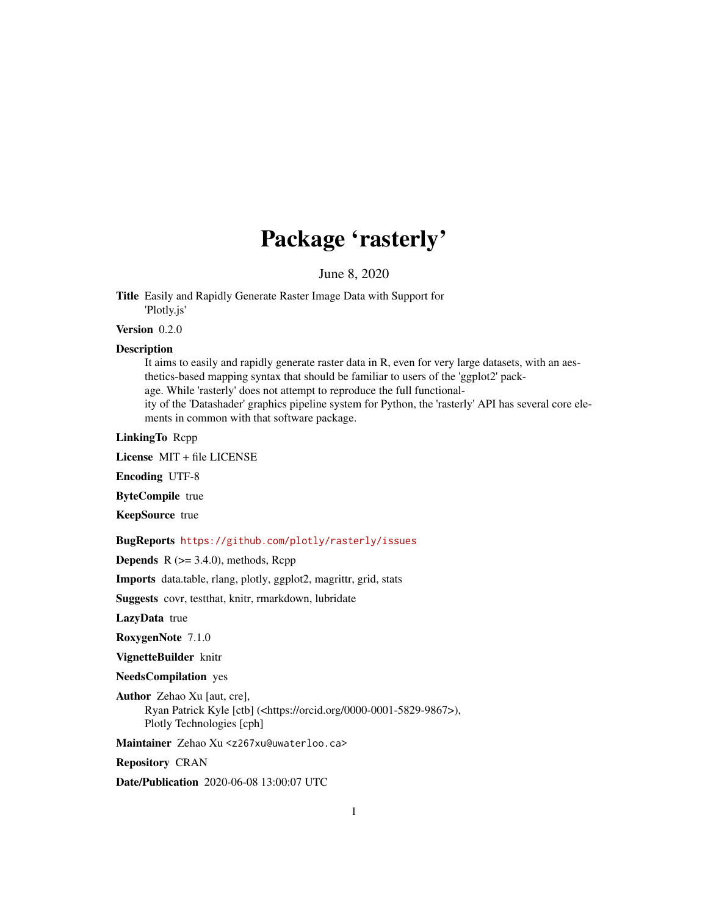## Package 'rasterly'

June 8, 2020

<span id="page-0-0"></span>Title Easily and Rapidly Generate Raster Image Data with Support for 'Plotly.js'

#### Version 0.2.0

#### **Description**

It aims to easily and rapidly generate raster data in R, even for very large datasets, with an aesthetics-based mapping syntax that should be familiar to users of the 'ggplot2' package. While 'rasterly' does not attempt to reproduce the full functionality of the 'Datashader' graphics pipeline system for Python, the 'rasterly' API has several core elements in common with that software package.

#### LinkingTo Rcpp

License MIT + file LICENSE

Encoding UTF-8

ByteCompile true

KeepSource true

#### BugReports <https://github.com/plotly/rasterly/issues>

**Depends**  $R$  ( $>= 3.4.0$ ), methods, Rcpp

Imports data.table, rlang, plotly, ggplot2, magrittr, grid, stats

Suggests covr, testthat, knitr, rmarkdown, lubridate

LazyData true

RoxygenNote 7.1.0

VignetteBuilder knitr

NeedsCompilation yes

Author Zehao Xu [aut, cre], Ryan Patrick Kyle [ctb] (<https://orcid.org/0000-0001-5829-9867>), Plotly Technologies [cph]

Maintainer Zehao Xu <z267xu@uwaterloo.ca>

Repository CRAN

Date/Publication 2020-06-08 13:00:07 UTC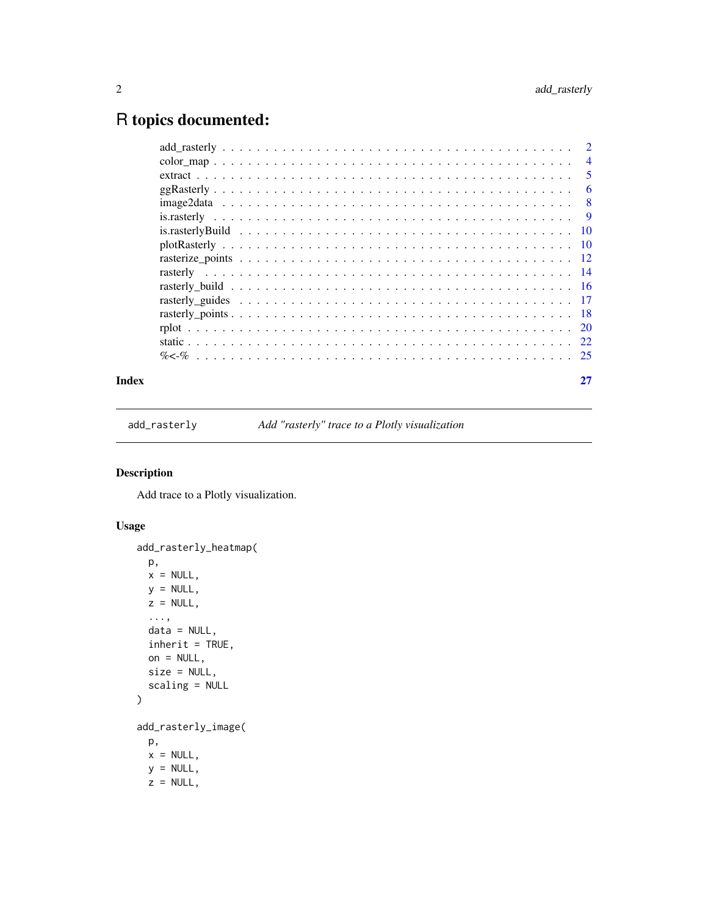### <span id="page-1-0"></span>R topics documented:

| Index |  |
|-------|--|
|       |  |
|       |  |
|       |  |
|       |  |
|       |  |
|       |  |
|       |  |
|       |  |
|       |  |
|       |  |
|       |  |
|       |  |
|       |  |
|       |  |
|       |  |
|       |  |

add\_rasterly *Add "rasterly" trace to a Plotly visualization*

#### Description

Add trace to a Plotly visualization.

#### Usage

```
add_rasterly_heatmap(
 p,
 x = NULL,y = NULL,z = NULL,...,
 data = NULL,inherit = TRUE,on = NULL,size = NULL,
 scaling = NULL
)
add_rasterly_image(
 p,
 x = NULL,y = NULL,z = NULL,
```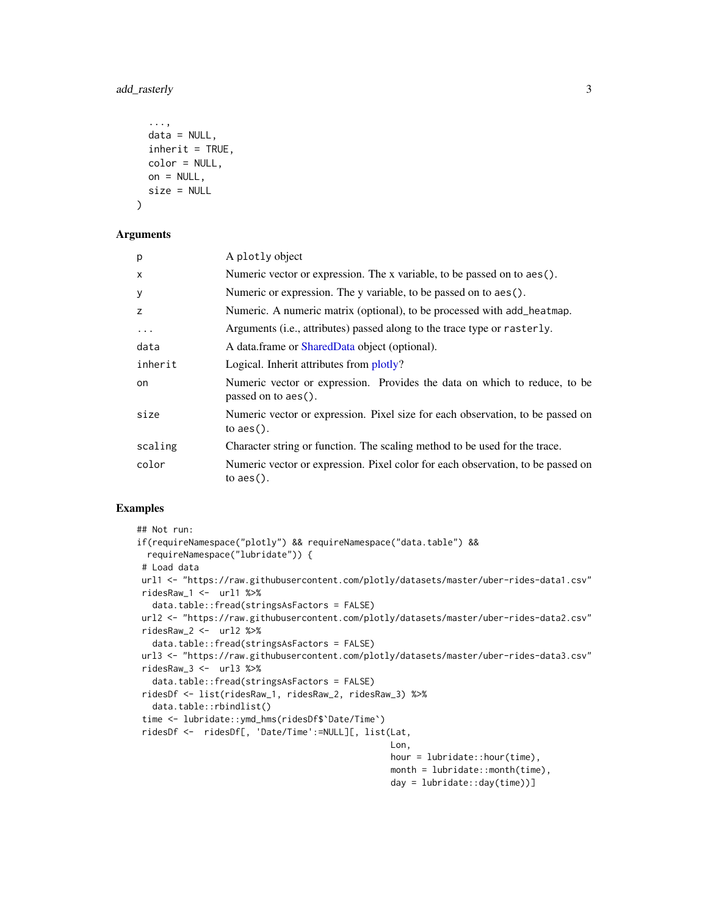#### <span id="page-2-0"></span>add\_rasterly 3

```
...,
data = NULL,
inherit = TRUE,
color = NULL,
on = NULL,size = NULL
```
#### Arguments

 $\lambda$ 

| p        | A plotly object                                                                                       |
|----------|-------------------------------------------------------------------------------------------------------|
| $\times$ | Numeric vector or expression. The x variable, to be passed on to aes().                               |
| y        | Numeric or expression. The y variable, to be passed on to aes().                                      |
| z        | Numeric. A numeric matrix (optional), to be processed with add_heatmap.                               |
| $\ddots$ | Arguments (i.e., attributes) passed along to the trace type or rasterly.                              |
| data     | A data.frame or SharedData object (optional).                                                         |
| inherit  | Logical. Inherit attributes from plotly?                                                              |
| on       | Numeric vector or expression. Provides the data on which to reduce, to be<br>passed on to $aes()$ .   |
| size     | Numeric vector or expression. Pixel size for each observation, to be passed on<br>to $\text{aes}()$ . |
| scaling  | Character string or function. The scaling method to be used for the trace.                            |
| color    | Numeric vector or expression. Pixel color for each observation, to be passed on<br>to $aes()$ .       |

#### Examples

```
## Not run:
if(requireNamespace("plotly") && requireNamespace("data.table") &&
 requireNamespace("lubridate")) {
# Load data
url1 <- "https://raw.githubusercontent.com/plotly/datasets/master/uber-rides-data1.csv"
ridesRaw_1 < - url1 %>>data.table::fread(stringsAsFactors = FALSE)
url2 <- "https://raw.githubusercontent.com/plotly/datasets/master/uber-rides-data2.csv"
ridesRaw_2 < - url2 %>%
  data.table::fread(stringsAsFactors = FALSE)
url3 <- "https://raw.githubusercontent.com/plotly/datasets/master/uber-rides-data3.csv"
ridesRaw_3 <- url3 %>%
  data.table::fread(stringsAsFactors = FALSE)
ridesDf <- list(ridesRaw_1, ridesRaw_2, ridesRaw_3) %>%
  data.table::rbindlist()
time <- lubridate::ymd_hms(ridesDf$`Date/Time`)
ridesDf <- ridesDf[, 'Date/Time':=NULL][, list(Lat,
                                                 Lon,
                                                 hour = lubridate::hour(time),
                                                 month = lubridate::month(time),
                                                 day = lubridate::day(time))]
```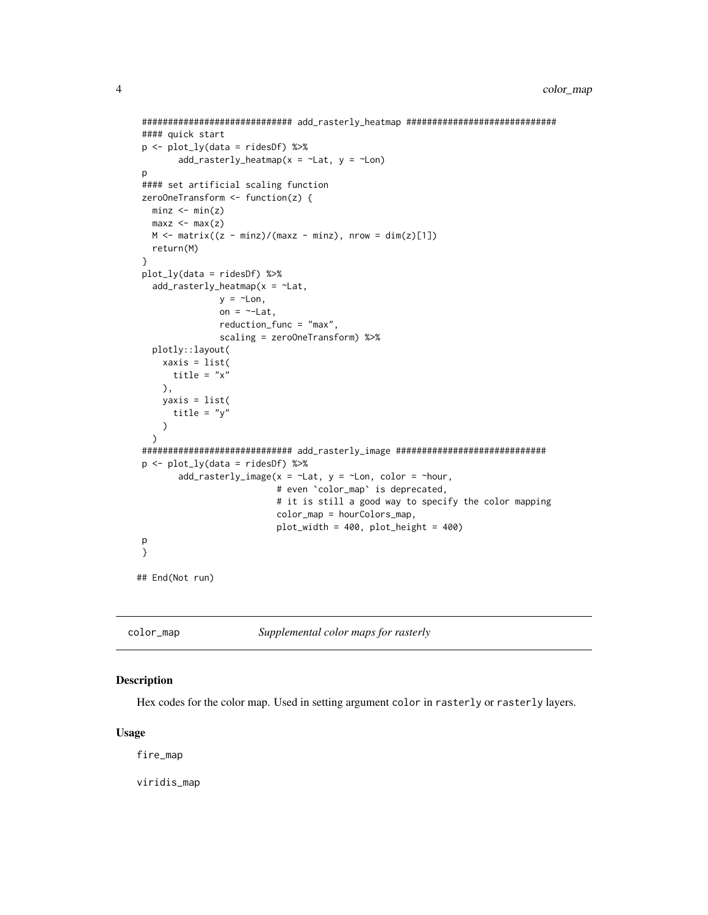```
############################# add_rasterly_heatmap #############################
 #### quick start
p <- plot_ly(data = ridesDf) %>%
        add_rasterly_heatmap(x = \simLat, y = \simLon)
 p
#### set artificial scaling function
zeroOneTransform <- function(z) {
  minz < -min(z)max < - max(z)M \leq -\text{matrix}((z - \text{min}z)/(\text{max}z - \text{min}z), \text{ nrow} = \text{dim}(z)[1])return(M)
}
 plot_ly(data = ridesDf) %>%
   add\_rasterly\_heatmap(x = ~\text{Lat},y = \simLon,
                 on = \sim-Lat,
                 reduction_func = "max",
                 scaling = zeroOneTransform) %>%
   plotly::layout(
     xaxis = list(
       title = "x"
     ),
     yaxis = list(
       title = "y"
     )
   )
 ############################# add_rasterly_image #############################
p <- plot_ly(data = ridesDf) %>%
        add\_rasterly\_image(x = \sim Lat, y = \sim Lon, color = \sim hour,# even `color_map` is deprecated,
                             # it is still a good way to specify the color mapping
                             color_map = hourColors_map,
                             plot_width = 400, plot_height = 400)
p
}
## End(Not run)
```
color\_map *Supplemental color maps for rasterly*

#### Description

Hex codes for the color map. Used in setting argument color in rasterly or rasterly layers.

#### Usage

fire\_map

viridis\_map

<span id="page-3-0"></span>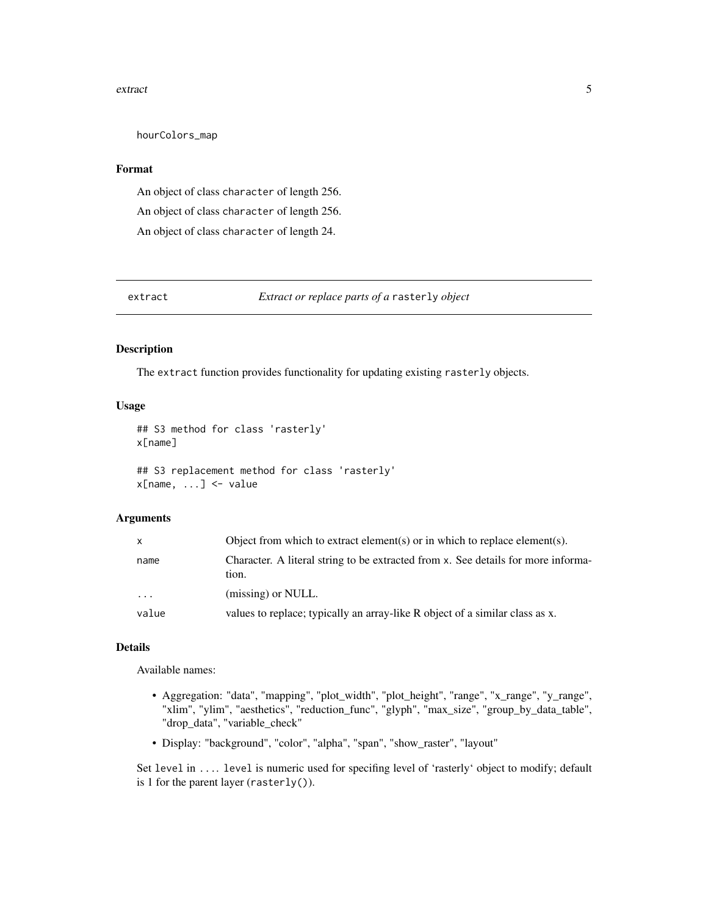#### <span id="page-4-0"></span>extract 5 and 5 and 5 and 5 and 5 and 5 and 5 and 5 and 5 and 5 and 5 and 5 and 5 and 5 and 5 and 5 and 5 and 5 and 5 and 5 and 5 and 5 and 5 and 5 and 5 and 5 and 5 and 5 and 5 and 5 and 5 and 5 and 5 and 5 and 5 and 5 an

hourColors\_map

#### Format

An object of class character of length 256. An object of class character of length 256. An object of class character of length 24.

extract *Extract or replace parts of a* rasterly *object*

#### <span id="page-4-1"></span>Description

The extract function provides functionality for updating existing rasterly objects.

#### Usage

```
## S3 method for class 'rasterly'
x[name]
```
## S3 replacement method for class 'rasterly'  $x[name, ...]$  <- value

#### Arguments

| X        | Object from which to extract element(s) or in which to replace element(s).                 |
|----------|--------------------------------------------------------------------------------------------|
| name     | Character. A literal string to be extracted from x. See details for more informa-<br>tion. |
| $\cdots$ | (missing) or NULL.                                                                         |
| value    | values to replace; typically an array-like R object of a similar class as x.               |

#### Details

Available names:

- Aggregation: "data", "mapping", "plot\_width", "plot\_height", "range", "x\_range", "y\_range", "xlim", "ylim", "aesthetics", "reduction\_func", "glyph", "max\_size", "group\_by\_data\_table", "drop\_data", "variable\_check"
- Display: "background", "color", "alpha", "span", "show\_raster", "layout"

Set level in .... level is numeric used for specifing level of 'rasterly' object to modify; default is 1 for the parent layer (rasterly()).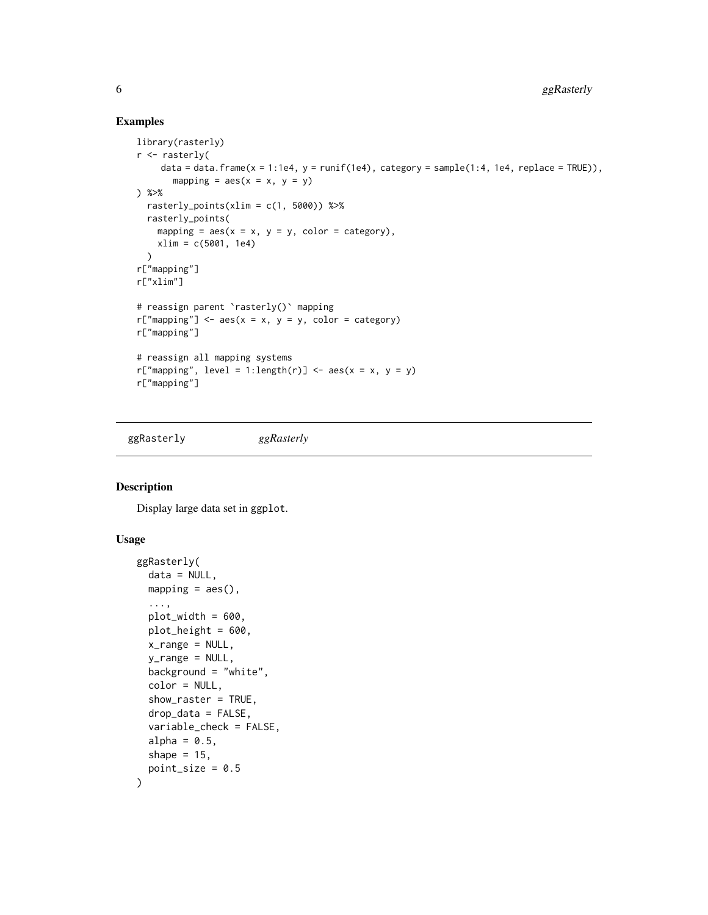#### Examples

```
library(rasterly)
r <- rasterly(
    data = data.frame(x = 1:1e4, y = runif(1e4), category = sample(1:4, 1e4, replace = TRUE)),
       mapping = \text{aes}(x = x, y = y)) %>%
  rasterly_points(xlim = c(1, 5000)) %>%
  rasterly_points(
    mapping = aes(x = x, y = y, color = category),
    xlim = c(5001, 1e4)\lambdar["mapping"]
r["xlim"]
# reassign parent `rasterly()` mapping
r["mapping"] \leq aes(x = x, y = y, color = category)r["mapping"]
# reassign all mapping systems
r["mapping", level = 1:length(r)] <- aes(x = x, y = y)
r["mapping"]
```
<span id="page-5-1"></span>ggRasterly *ggRasterly*

#### Description

Display large data set in ggplot.

#### Usage

```
ggRasterly(
  data = NULL,
 mapping = aes(),
  ...,
 plot_width = 600,
  plot\_height = 600,x_range = NULL,
  y_range = NULL,
 background = "white",
  color = NULL,
  show_raster = TRUE,
  drop_data = FALSE,
  variable_check = FALSE,
  alpha = 0.5,
  shape = 15,
  point_size = 0.5\mathcal{E}
```
<span id="page-5-0"></span>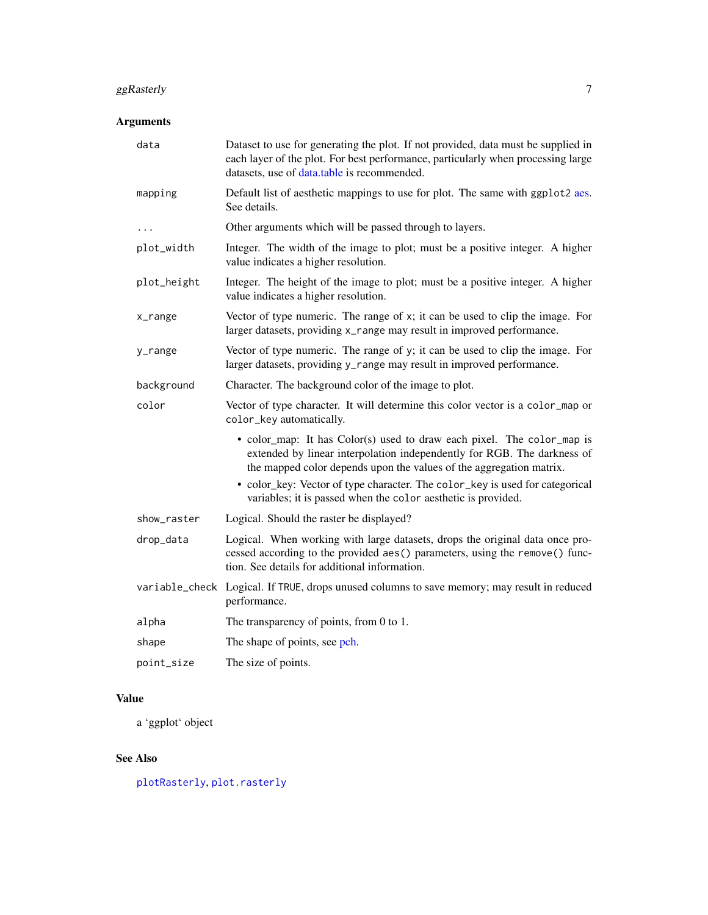### <span id="page-6-0"></span>ggRasterly 7

#### Arguments

| data        | Dataset to use for generating the plot. If not provided, data must be supplied in<br>each layer of the plot. For best performance, particularly when processing large<br>datasets, use of data.table is recommended.                                                                                                                                                      |
|-------------|---------------------------------------------------------------------------------------------------------------------------------------------------------------------------------------------------------------------------------------------------------------------------------------------------------------------------------------------------------------------------|
| mapping     | Default list of aesthetic mappings to use for plot. The same with ggplot2 aes.<br>See details.                                                                                                                                                                                                                                                                            |
|             | Other arguments which will be passed through to layers.                                                                                                                                                                                                                                                                                                                   |
| plot_width  | Integer. The width of the image to plot; must be a positive integer. A higher<br>value indicates a higher resolution.                                                                                                                                                                                                                                                     |
| plot_height | Integer. The height of the image to plot; must be a positive integer. A higher<br>value indicates a higher resolution.                                                                                                                                                                                                                                                    |
| x_range     | Vector of type numeric. The range of x; it can be used to clip the image. For<br>larger datasets, providing x_range may result in improved performance.                                                                                                                                                                                                                   |
| y_range     | Vector of type numeric. The range of y; it can be used to clip the image. For<br>larger datasets, providing y_range may result in improved performance.                                                                                                                                                                                                                   |
| background  | Character. The background color of the image to plot.                                                                                                                                                                                                                                                                                                                     |
| color       | Vector of type character. It will determine this color vector is a color_map or<br>color_key automatically.                                                                                                                                                                                                                                                               |
|             | • color_map: It has Color(s) used to draw each pixel. The color_map is<br>extended by linear interpolation independently for RGB. The darkness of<br>the mapped color depends upon the values of the aggregation matrix.<br>• color_key: Vector of type character. The color_key is used for categorical<br>variables; it is passed when the color aesthetic is provided. |
| show_raster | Logical. Should the raster be displayed?                                                                                                                                                                                                                                                                                                                                  |
| drop_data   | Logical. When working with large datasets, drops the original data once pro-<br>cessed according to the provided aes() parameters, using the remove() func-<br>tion. See details for additional information.                                                                                                                                                              |
|             | variable_check Logical. If TRUE, drops unused columns to save memory; may result in reduced<br>performance.                                                                                                                                                                                                                                                               |
| alpha       | The transparency of points, from 0 to 1.                                                                                                                                                                                                                                                                                                                                  |
| shape       | The shape of points, see pch.                                                                                                                                                                                                                                                                                                                                             |
| point_size  | The size of points.                                                                                                                                                                                                                                                                                                                                                       |

#### Value

a 'ggplot' object

#### See Also

[plotRasterly](#page-9-1), [plot.rasterly](#page-21-1)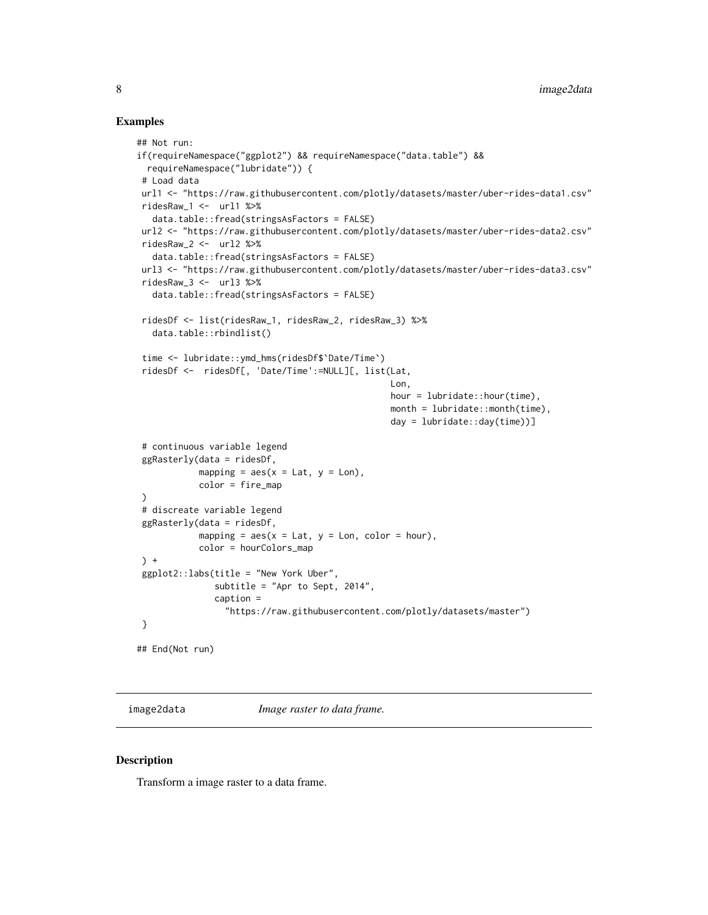#### Examples

```
## Not run:
if(requireNamespace("ggplot2") && requireNamespace("data.table") &&
 requireNamespace("lubridate")) {
# Load data
url1 <- "https://raw.githubusercontent.com/plotly/datasets/master/uber-rides-data1.csv"
ridesRaw_1 < - url1 %>>data.table::fread(stringsAsFactors = FALSE)
url2 <- "https://raw.githubusercontent.com/plotly/datasets/master/uber-rides-data2.csv"
ridesRaw_2 <- url2 %>%
  data.table::fread(stringsAsFactors = FALSE)
url3 <- "https://raw.githubusercontent.com/plotly/datasets/master/uber-rides-data3.csv"
ridesRaw_3 <- url3 %>%
  data.table::fread(stringsAsFactors = FALSE)
 ridesDf <- list(ridesRaw_1, ridesRaw_2, ridesRaw_3) %>%
  data.table::rbindlist()
 time <- lubridate::ymd_hms(ridesDf$`Date/Time`)
 ridesDf <- ridesDf[, 'Date/Time':=NULL][, list(Lat,
                                                  Lon,
                                                  hour = lubridate::hour(time),
                                                  month = lubridate::month(time),
                                                  day = lubridate::day(time))]
 # continuous variable legend
 ggRasterly(data = ridesDf,
            mapping = \text{aes}(x = \text{Lat}, y = \text{ Lon}),
            color = fire_map
)
 # discreate variable legend
 ggRasterly(data = ridesDf,
            mapping = aes(x = Lat, y = Lon, color = hour),
            color = hourColors_map
 ) +ggplot2::labs(title = "New York Uber",
               subtitle = "Apr to Sept, 2014",
               caption =
                 "https://raw.githubusercontent.com/plotly/datasets/master")
}
## End(Not run)
```
<span id="page-7-1"></span>image2data *Image raster to data frame.*

#### Description

Transform a image raster to a data frame.

<span id="page-7-0"></span>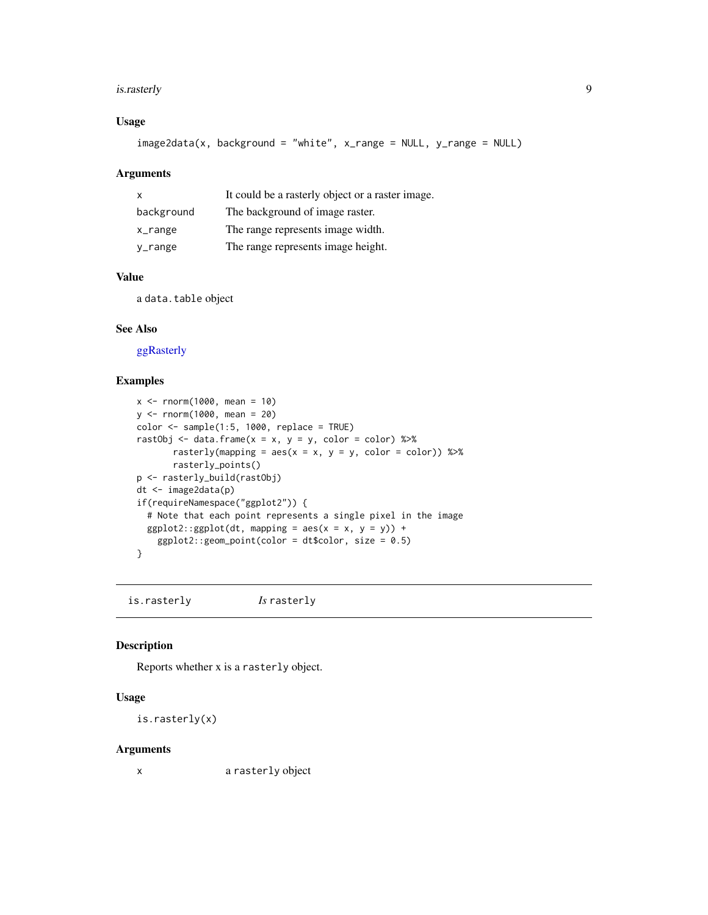#### <span id="page-8-0"></span>is.rasterly 9

#### Usage

```
image2data(x, background = "white", x_range = NULL, y_range = NULL)
```
#### Arguments

| $\mathbf{x}$ | It could be a rasterly object or a raster image. |
|--------------|--------------------------------------------------|
| background   | The background of image raster.                  |
| x_range      | The range represents image width.                |
| y_range      | The range represents image height.               |

#### Value

a data.table object

#### See Also

[ggRasterly](#page-5-1)

#### Examples

```
x < - rnorm(1000, mean = 10)
y <- rnorm(1000, mean = 20)
color < - sample(1:5, 1000, replace = TRUE)rastObj <- data.frame(x = x, y = y, color = color) %>%
       rasterly(mapping = aes(x = x, y = y, color = color)) %>%
       rasterly_points()
p <- rasterly_build(rastObj)
dt <- image2data(p)
if(requireNamespace("ggplot2")) {
  # Note that each point represents a single pixel in the image
  ggplot2::ggplot(dt, mapping = aes(x = x, y = y)) +ggplot2::geom\_point(color = dt$color, size = 0.5)}
```
is.rasterly *Is* rasterly

#### Description

Reports whether x is a rasterly object.

#### Usage

is.rasterly(x)

#### Arguments

x a rasterly object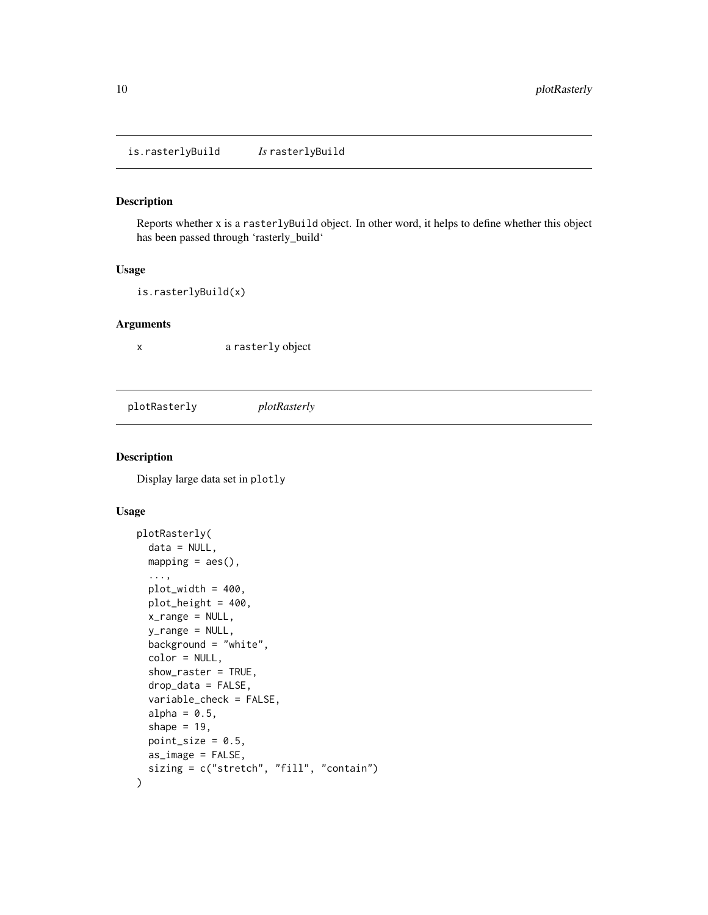<span id="page-9-0"></span>is.rasterlyBuild *Is* rasterlyBuild

#### Description

Reports whether x is a rasterlyBuild object. In other word, it helps to define whether this object has been passed through 'rasterly\_build'

#### Usage

```
is.rasterlyBuild(x)
```
#### Arguments

x a rasterly object

<span id="page-9-1"></span>plotRasterly *plotRasterly*

#### Description

Display large data set in plotly

#### Usage

```
plotRasterly(
  data = NULL,
 mapping = acs(),...,
 plot_width = 400,
 plot_height = 400,
  x_range = NULL,
 y_range = NULL,
 background = "white",
  color = NULL,
  show_raster = TRUE,
  drop_data = FALSE,
  variable_check = FALSE,
  alpha = 0.5,
  shape = 19,
 point_size = 0.5,
 as_image = FALSE,
  sizing = c("stretch", "fill", "contain")
\mathcal{E}
```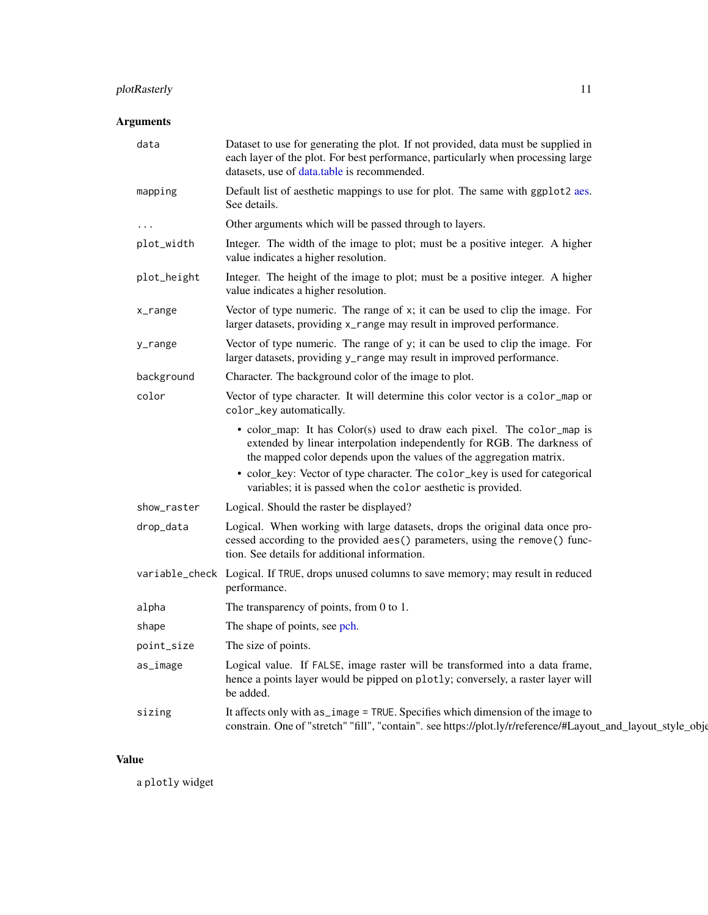#### <span id="page-10-0"></span>plotRasterly 11

#### Arguments

| data        | Dataset to use for generating the plot. If not provided, data must be supplied in<br>each layer of the plot. For best performance, particularly when processing large<br>datasets, use of data.table is recommended.                                                                                                                                                      |
|-------------|---------------------------------------------------------------------------------------------------------------------------------------------------------------------------------------------------------------------------------------------------------------------------------------------------------------------------------------------------------------------------|
| mapping     | Default list of aesthetic mappings to use for plot. The same with ggplot2 aes.<br>See details.                                                                                                                                                                                                                                                                            |
|             | Other arguments which will be passed through to layers.                                                                                                                                                                                                                                                                                                                   |
| plot_width  | Integer. The width of the image to plot; must be a positive integer. A higher<br>value indicates a higher resolution.                                                                                                                                                                                                                                                     |
| plot_height | Integer. The height of the image to plot; must be a positive integer. A higher<br>value indicates a higher resolution.                                                                                                                                                                                                                                                    |
| x_range     | Vector of type numeric. The range of x; it can be used to clip the image. For<br>larger datasets, providing x_range may result in improved performance.                                                                                                                                                                                                                   |
| y_range     | Vector of type numeric. The range of y; it can be used to clip the image. For<br>larger datasets, providing y_range may result in improved performance.                                                                                                                                                                                                                   |
| background  | Character. The background color of the image to plot.                                                                                                                                                                                                                                                                                                                     |
| color       | Vector of type character. It will determine this color vector is a color_map or<br>color_key automatically.                                                                                                                                                                                                                                                               |
|             | • color_map: It has Color(s) used to draw each pixel. The color_map is<br>extended by linear interpolation independently for RGB. The darkness of<br>the mapped color depends upon the values of the aggregation matrix.<br>• color_key: Vector of type character. The color_key is used for categorical<br>variables; it is passed when the color aesthetic is provided. |
| show_raster | Logical. Should the raster be displayed?                                                                                                                                                                                                                                                                                                                                  |
| drop_data   | Logical. When working with large datasets, drops the original data once pro-<br>cessed according to the provided aes() parameters, using the remove() func-<br>tion. See details for additional information.                                                                                                                                                              |
|             | variable_check Logical. If TRUE, drops unused columns to save memory; may result in reduced<br>performance.                                                                                                                                                                                                                                                               |
| alpha       | The transparency of points, from 0 to 1.                                                                                                                                                                                                                                                                                                                                  |
| shape       | The shape of points, see pch.                                                                                                                                                                                                                                                                                                                                             |
| point_size  | The size of points.                                                                                                                                                                                                                                                                                                                                                       |
| as_image    | Logical value. If FALSE, image raster will be transformed into a data frame,<br>hence a points layer would be pipped on plotly; conversely, a raster layer will<br>be added.                                                                                                                                                                                              |
| sizing      | It affects only with as_image = TRUE. Specifies which dimension of the image to<br>constrain. One of "stretch" "fill", "contain". see https://plot.ly/r/reference/#Layout_and_layout_style_obje                                                                                                                                                                           |

#### Value

a plotly widget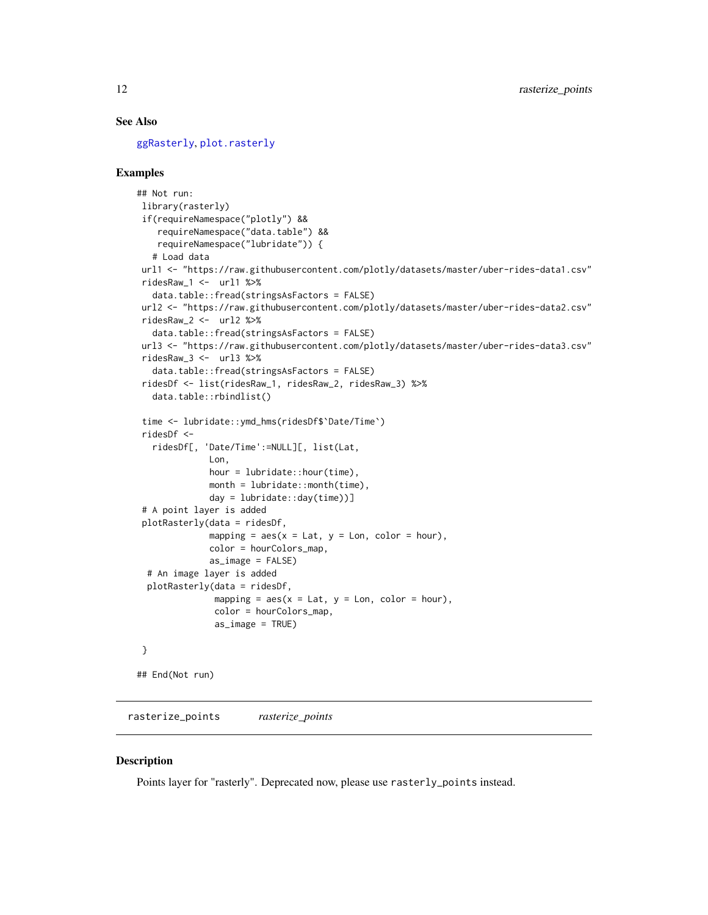#### <span id="page-11-0"></span>See Also

[ggRasterly](#page-5-1), [plot.rasterly](#page-21-1)

#### Examples

```
## Not run:
library(rasterly)
if(requireNamespace("plotly") &&
    requireNamespace("data.table") &&
    requireNamespace("lubridate")) {
   # Load data
url1 <- "https://raw.githubusercontent.com/plotly/datasets/master/uber-rides-data1.csv"
 ridesRaw_1 < - url1 %>%
  data.table::fread(stringsAsFactors = FALSE)
url2 <- "https://raw.githubusercontent.com/plotly/datasets/master/uber-rides-data2.csv"
ridesRaw_2 \leftarrow url2 %\ggdata.table::fread(stringsAsFactors = FALSE)
url3 <- "https://raw.githubusercontent.com/plotly/datasets/master/uber-rides-data3.csv"
ridesRaw_3 \leftarrow ur13 %data.table::fread(stringsAsFactors = FALSE)
ridesDf <- list(ridesRaw_1, ridesRaw_2, ridesRaw_3) %>%
  data.table::rbindlist()
 time <- lubridate::ymd_hms(ridesDf$`Date/Time`)
ridesDf <-
  ridesDf[, 'Date/Time':=NULL][, list(Lat,
              Lon,
              hour = lubridate::hour(time),
              month = lubridate::month(time),
              day = lubridate::day(time))]
 # A point layer is added
 plotRasterly(data = ridesDf,
              mapping = \text{aes}(x = \text{Lat}, y = \text{ Lon}, \text{ color} = \text{hour}),color = hourColors_map,
              as_image = FALSE)
 # An image layer is added
 plotRasterly(data = ridesDf,
               mapping = aes(x = Lat, y = Lon, color = hour),
               color = hourColors_map,
               as_image = TRUE)
}
## End(Not run)
```
rasterize\_points *rasterize\_points*

#### **Description**

Points layer for "rasterly". Deprecated now, please use rasterly\_points instead.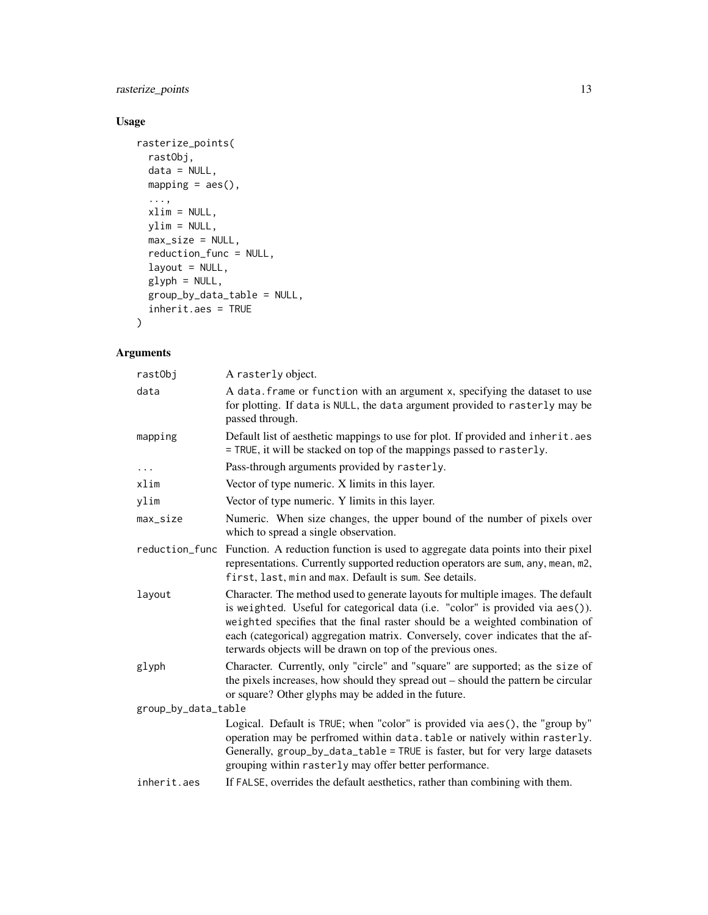#### rasterize\_points 13

#### Usage

```
rasterize_points(
 rastObj,
 data = NULL,
 mapping = acs(),
  ...,
 xlim = NULL,ylim = NULL,
 max_size = NULL,
 reduction_func = NULL,
 layout = NULL,
 glyph = NULL,
 group_by_data_table = NULL,
 inherit.aes = TRUE
)
```
#### Arguments

| rast0bj             | A rasterly object.                                                                                                                                                                                                                                                                                                                                                                                  |  |
|---------------------|-----------------------------------------------------------------------------------------------------------------------------------------------------------------------------------------------------------------------------------------------------------------------------------------------------------------------------------------------------------------------------------------------------|--|
| data                | A data. frame or function with an argument x, specifying the dataset to use<br>for plotting. If data is NULL, the data argument provided to rasterly may be<br>passed through.                                                                                                                                                                                                                      |  |
| mapping             | Default list of aesthetic mappings to use for plot. If provided and inherit.aes<br>= TRUE, it will be stacked on top of the mappings passed to rasterly.                                                                                                                                                                                                                                            |  |
| $\cdots$            | Pass-through arguments provided by rasterly.                                                                                                                                                                                                                                                                                                                                                        |  |
| xlim                | Vector of type numeric. X limits in this layer.                                                                                                                                                                                                                                                                                                                                                     |  |
| ylim                | Vector of type numeric. Y limits in this layer.                                                                                                                                                                                                                                                                                                                                                     |  |
| max_size            | Numeric. When size changes, the upper bound of the number of pixels over<br>which to spread a single observation.                                                                                                                                                                                                                                                                                   |  |
|                     | reduction_func Function. A reduction function is used to aggregate data points into their pixel<br>representations. Currently supported reduction operators are sum, any, mean, m2,<br>first, last, min and max. Default is sum. See details.                                                                                                                                                       |  |
| layout              | Character. The method used to generate layouts for multiple images. The default<br>is weighted. Useful for categorical data (i.e. "color" is provided via aes()).<br>weighted specifies that the final raster should be a weighted combination of<br>each (categorical) aggregation matrix. Conversely, cover indicates that the af-<br>terwards objects will be drawn on top of the previous ones. |  |
| glyph               | Character. Currently, only "circle" and "square" are supported; as the size of<br>the pixels increases, how should they spread out – should the pattern be circular<br>or square? Other glyphs may be added in the future.                                                                                                                                                                          |  |
| group_by_data_table |                                                                                                                                                                                                                                                                                                                                                                                                     |  |
|                     | Logical. Default is TRUE; when "color" is provided via aes(), the "group by"<br>operation may be perfromed within data.table or natively within rasterly.<br>Generally, group_by_data_table = TRUE is faster, but for very large datasets<br>grouping within rasterly may offer better performance.                                                                                                 |  |
| inherit.aes         | If FALSE, overrides the default aesthetics, rather than combining with them.                                                                                                                                                                                                                                                                                                                        |  |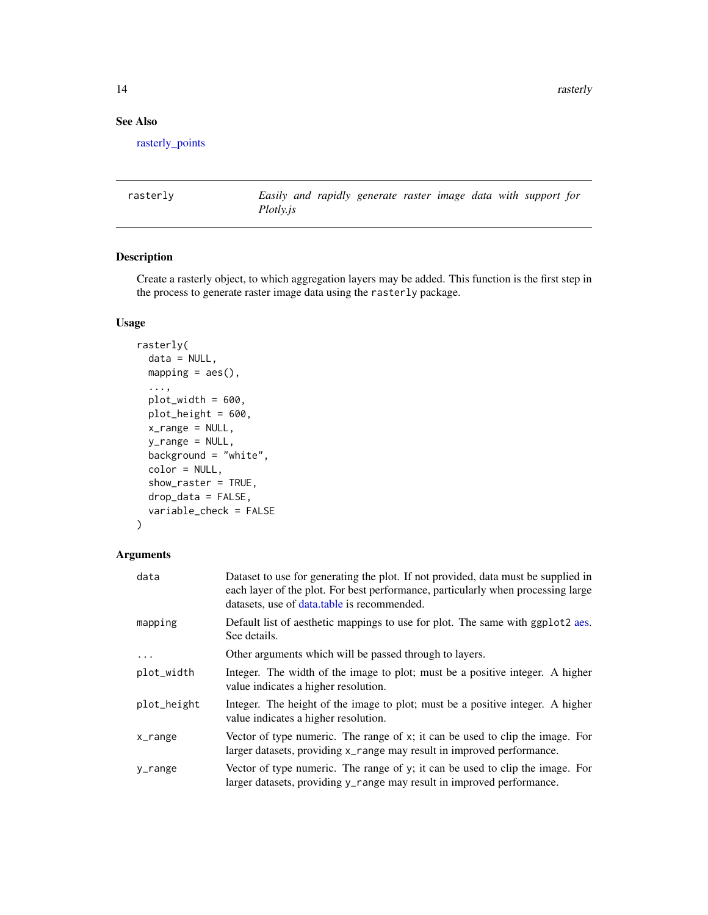#### <span id="page-13-0"></span>See Also

[rasterly\\_points](#page-17-1)

<span id="page-13-1"></span>rasterly *Easily and rapidly generate raster image data with support for Plotly.js*

#### Description

Create a rasterly object, to which aggregation layers may be added. This function is the first step in the process to generate raster image data using the rasterly package.

#### Usage

```
rasterly(
 data = NULL,
 mapping = acs(),...,
 plot_width = 600,
 plot_height = 600,
 x_range = NULL,
 y_range = NULL,
 background = "white",
  color = NULL,
  show_raster = TRUE,
 drop_data = FALSE,
  variable_check = FALSE
)
```
#### Arguments

| data        | Dataset to use for generating the plot. If not provided, data must be supplied in<br>each layer of the plot. For best performance, particularly when processing large<br>datasets, use of data.table is recommended. |
|-------------|----------------------------------------------------------------------------------------------------------------------------------------------------------------------------------------------------------------------|
| mapping     | Default list of aesthetic mappings to use for plot. The same with ggplot2 aes.<br>See details.                                                                                                                       |
| $\ddotsc$   | Other arguments which will be passed through to layers.                                                                                                                                                              |
| plot_width  | Integer. The width of the image to plot; must be a positive integer. A higher<br>value indicates a higher resolution.                                                                                                |
| plot_height | Integer. The height of the image to plot; must be a positive integer. A higher<br>value indicates a higher resolution.                                                                                               |
| x_range     | Vector of type numeric. The range of $x$ ; it can be used to clip the image. For<br>larger datasets, providing x_range may result in improved performance.                                                           |
| y_range     | Vector of type numeric. The range of y; it can be used to clip the image. For<br>larger datasets, providing y_range may result in improved performance.                                                              |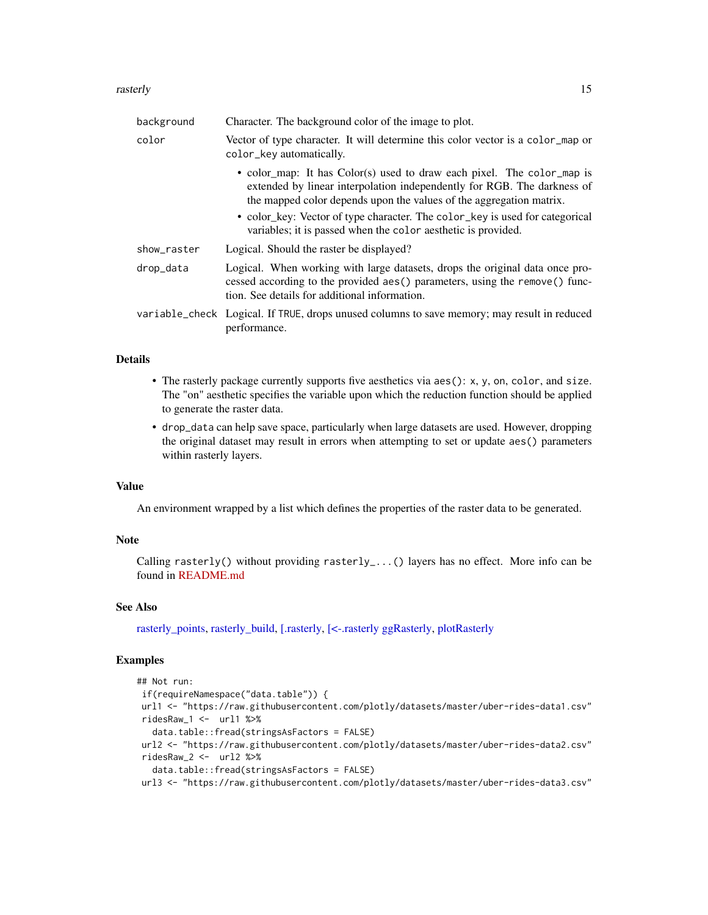#### <span id="page-14-0"></span>rasterly and the state of the state of the state of the state of the state of the state of the state of the state of the state of the state of the state of the state of the state of the state of the state of the state of t

| background  | Character. The background color of the image to plot.                                                                                                                                                                                                                                                                                                                     |
|-------------|---------------------------------------------------------------------------------------------------------------------------------------------------------------------------------------------------------------------------------------------------------------------------------------------------------------------------------------------------------------------------|
| color       | Vector of type character. It will determine this color vector is a color_map or<br>color_key automatically.                                                                                                                                                                                                                                                               |
|             | • color_map: It has Color(s) used to draw each pixel. The color_map is<br>extended by linear interpolation independently for RGB. The darkness of<br>the mapped color depends upon the values of the aggregation matrix.<br>• color_key: Vector of type character. The color_key is used for categorical<br>variables; it is passed when the color aesthetic is provided. |
| show raster | Logical. Should the raster be displayed?                                                                                                                                                                                                                                                                                                                                  |
| drop_data   | Logical. When working with large datasets, drops the original data once pro-<br>cessed according to the provided aes() parameters, using the remove() func-<br>tion. See details for additional information.                                                                                                                                                              |
|             | variable_check Logical. If TRUE, drops unused columns to save memory; may result in reduced<br>performance.                                                                                                                                                                                                                                                               |

#### Details

- The rasterly package currently supports five aesthetics via aes(): x, y, on, color, and size. The "on" aesthetic specifies the variable upon which the reduction function should be applied to generate the raster data.
- drop\_data can help save space, particularly when large datasets are used. However, dropping the original dataset may result in errors when attempting to set or update aes() parameters within rasterly layers.

#### Value

An environment wrapped by a list which defines the properties of the raster data to be generated.

#### **Note**

Calling rasterly() without providing rasterly\_...() layers has no effect. More info can be found in [README.md](https://github.com/plotly/rasterly/blob/master/README.md)

#### See Also

[rasterly\\_points,](#page-17-1) [rasterly\\_build,](#page-15-1) [\[.rasterly,](#page-4-1) [\[<-.rasterly](#page-4-1) [ggRasterly,](#page-5-1) [plotRasterly](#page-9-1)

#### Examples

```
## Not run:
if(requireNamespace("data.table")) {
url1 <- "https://raw.githubusercontent.com/plotly/datasets/master/uber-rides-data1.csv"
ridesRaw_1 <- url1 %>%
  data.table::fread(stringsAsFactors = FALSE)
url2 <- "https://raw.githubusercontent.com/plotly/datasets/master/uber-rides-data2.csv"
ridesRaw_2 <- url2 %>%
  data.table::fread(stringsAsFactors = FALSE)
url3 <- "https://raw.githubusercontent.com/plotly/datasets/master/uber-rides-data3.csv"
```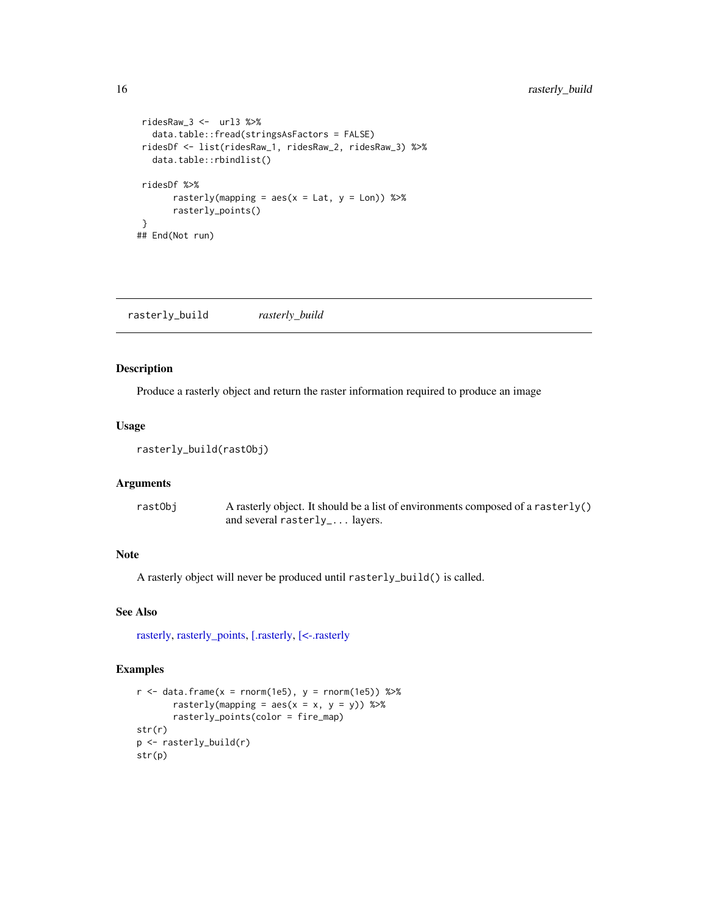```
ridesRaw_3 \leftarrow ur13 %data.table::fread(stringsAsFactors = FALSE)
ridesDf <- list(ridesRaw_1, ridesRaw_2, ridesRaw_3) %>%
  data.table::rbindlist()
ridesDf %>%
      rasterly(mapping = aes(x = Lat, y = Lon)) %>%
       rasterly_points()
}
## End(Not run)
```
<span id="page-15-1"></span>rasterly\_build *rasterly\_build*

#### Description

Produce a rasterly object and return the raster information required to produce an image

#### Usage

```
rasterly_build(rastObj)
```
#### Arguments

| rastObj | A rasterly object. It should be a list of environments composed of a rasterly() |
|---------|---------------------------------------------------------------------------------|
|         | and several rasterly_ layers.                                                   |

#### Note

A rasterly object will never be produced until rasterly\_build() is called.

#### See Also

[rasterly,](#page-13-1) [rasterly\\_points,](#page-17-1) [\[.rasterly,](#page-4-1) [\[<-.rasterly](#page-4-1)

#### Examples

```
r <- data.frame(x = rnorm(1e5), y = rnorm(1e5)) %>%
       rasterly(mapping = \text{aes}(x = x, y = y)) %>%
       rasterly_points(color = fire_map)
str(r)
p <- rasterly_build(r)
str(p)
```
<span id="page-15-0"></span>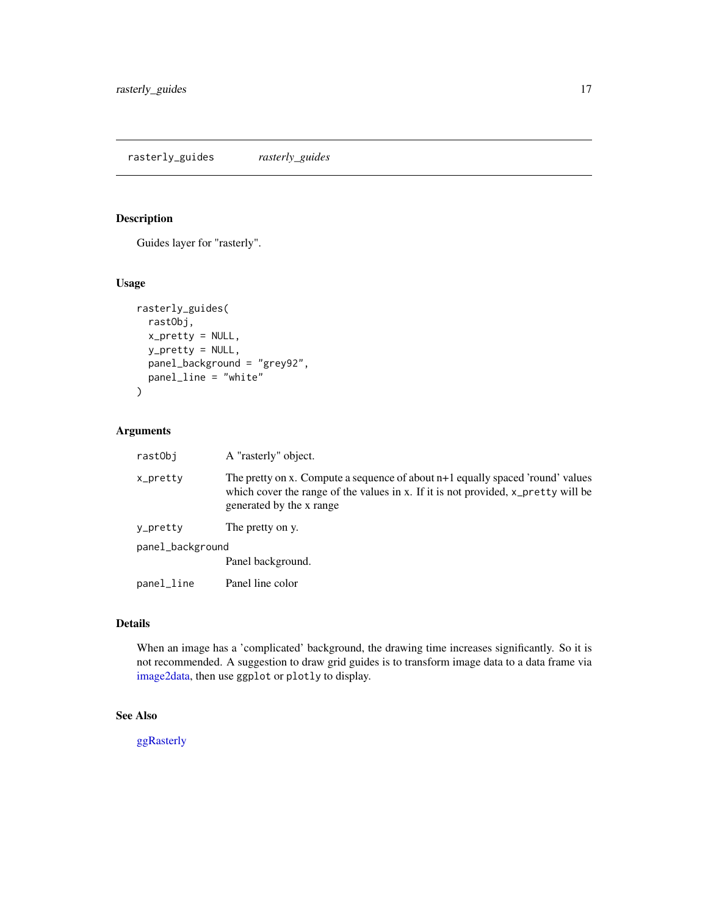#### <span id="page-16-0"></span>Description

Guides layer for "rasterly".

#### Usage

```
rasterly_guides(
  rastObj,
 x_pretty = NULL,
 y_pretty = NULL,
 panel_background = "grey92",
 panel_line = "white"
)
```
#### Arguments

| rastObi                               | A "rasterly" object.                                                                                                                                                                              |
|---------------------------------------|---------------------------------------------------------------------------------------------------------------------------------------------------------------------------------------------------|
| x_pretty                              | The pretty on x. Compute a sequence of about $n+1$ equally spaced 'round' values<br>which cover the range of the values in x. If it is not provided, x_pretty will be<br>generated by the x range |
| y_pretty                              | The pretty on y.                                                                                                                                                                                  |
| panel_background<br>Panel background. |                                                                                                                                                                                                   |
| panel_line                            | Panel line color                                                                                                                                                                                  |

#### Details

When an image has a 'complicated' background, the drawing time increases significantly. So it is not recommended. A suggestion to draw grid guides is to transform image data to a data frame via [image2data,](#page-7-1) then use ggplot or plotly to display.

#### See Also

[ggRasterly](#page-5-1)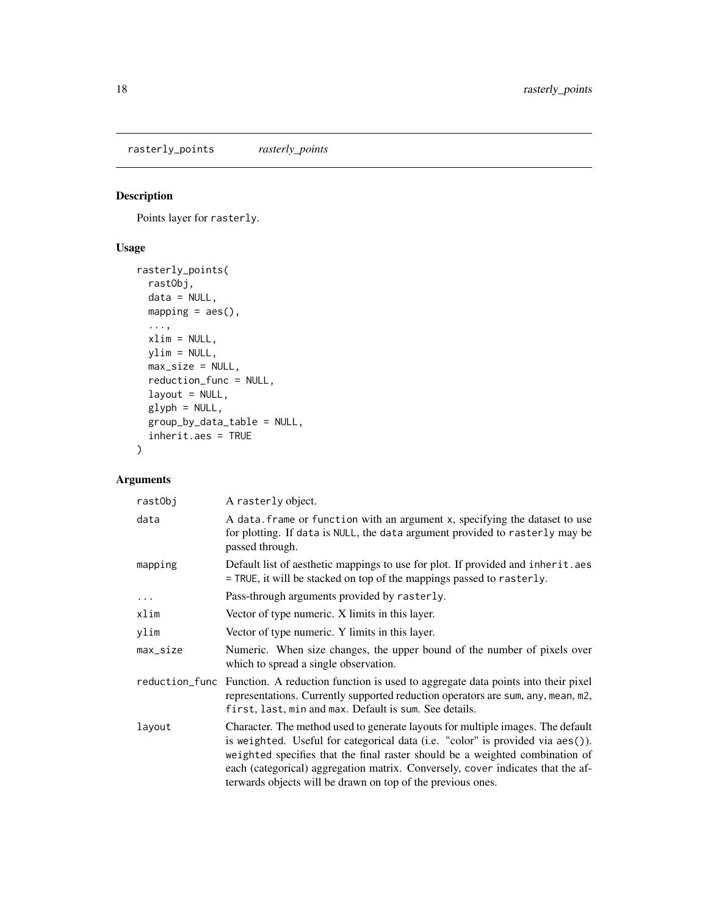<span id="page-17-1"></span><span id="page-17-0"></span>rasterly\_points *rasterly\_points*

#### Description

Points layer for rasterly.

#### Usage

```
rasterly_points(
  rastObj,
  data = NULL,mapping = acs(),...,
 xlim = NULL,
 ylim = NULL,
 max_size = NULL,
 reduction_func = NULL,
 layout = NULL,
 glyph = NULL,group_by_data_table = NULL,
  inherit.aes = TRUE
\mathcal{L}
```
#### Arguments

| rastObj    | A rasterly object.                                                                                                                                                                                                                                                                                                                                                                                  |
|------------|-----------------------------------------------------------------------------------------------------------------------------------------------------------------------------------------------------------------------------------------------------------------------------------------------------------------------------------------------------------------------------------------------------|
| data       | A data. frame or function with an argument x, specifying the dataset to use<br>for plotting. If data is NULL, the data argument provided to rasterly may be<br>passed through.                                                                                                                                                                                                                      |
| mapping    | Default list of aesthetic mappings to use for plot. If provided and inherit.aes<br>= TRUE, it will be stacked on top of the mappings passed to rasterly.                                                                                                                                                                                                                                            |
| $\cdots$   | Pass-through arguments provided by rasterly.                                                                                                                                                                                                                                                                                                                                                        |
| xlim       | Vector of type numeric. X limits in this layer.                                                                                                                                                                                                                                                                                                                                                     |
| ylim       | Vector of type numeric. Y limits in this layer.                                                                                                                                                                                                                                                                                                                                                     |
| $max_size$ | Numeric. When size changes, the upper bound of the number of pixels over<br>which to spread a single observation.                                                                                                                                                                                                                                                                                   |
|            | reduction_func Function. A reduction function is used to aggregate data points into their pixel<br>representations. Currently supported reduction operators are sum, any, mean, m2,<br>first, last, min and max. Default is sum. See details.                                                                                                                                                       |
| layout     | Character. The method used to generate layouts for multiple images. The default<br>is weighted. Useful for categorical data (i.e. "color" is provided via aes()).<br>weighted specifies that the final raster should be a weighted combination of<br>each (categorical) aggregation matrix. Conversely, cover indicates that the af-<br>terwards objects will be drawn on top of the previous ones. |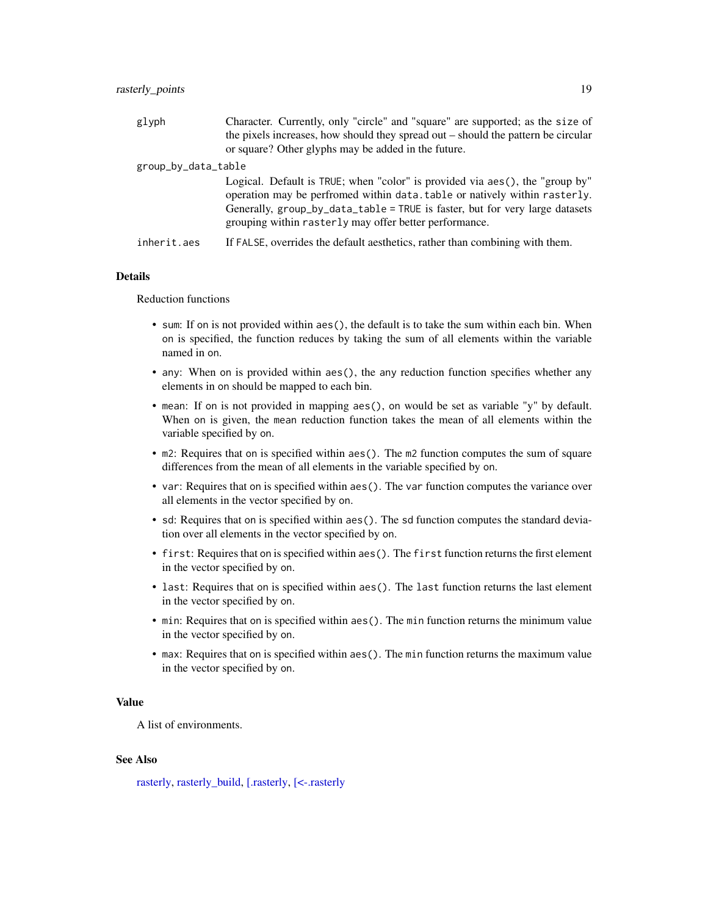<span id="page-18-0"></span>

| glyph               | Character. Currently, only "circle" and "square" are supported; as the size of<br>the pixels increases, how should they spread out – should the pattern be circular<br>or square? Other glyphs may be added in the future.                                                                           |
|---------------------|------------------------------------------------------------------------------------------------------------------------------------------------------------------------------------------------------------------------------------------------------------------------------------------------------|
| group_by_data_table |                                                                                                                                                                                                                                                                                                      |
|                     | Logical. Default is TRUE; when "color" is provided via aes(), the "group by"<br>operation may be perfromed within data. table or natively within rasterly.<br>Generally, group_by_data_table = TRUE is faster, but for very large datasets<br>grouping within rasterly may offer better performance. |
| inherit.aes         | If FALSE, overrides the default aesthetics, rather than combining with them.                                                                                                                                                                                                                         |

#### **Details**

Reduction functions

- sum: If on is not provided within aes(), the default is to take the sum within each bin. When on is specified, the function reduces by taking the sum of all elements within the variable named in on.
- any: When on is provided within aes(), the any reduction function specifies whether any elements in on should be mapped to each bin.
- mean: If on is not provided in mapping aes(), on would be set as variable "y" by default. When on is given, the mean reduction function takes the mean of all elements within the variable specified by on.
- m2: Requires that on is specified within aes(). The m2 function computes the sum of square differences from the mean of all elements in the variable specified by on.
- var: Requires that on is specified within aes(). The var function computes the variance over all elements in the vector specified by on.
- sd: Requires that on is specified within aes(). The sd function computes the standard deviation over all elements in the vector specified by on.
- first: Requires that on is specified within aes(). The first function returns the first element in the vector specified by on.
- last: Requires that on is specified within aes(). The last function returns the last element in the vector specified by on.
- min: Requires that on is specified within aes(). The min function returns the minimum value in the vector specified by on.
- max: Requires that on is specified within aes(). The min function returns the maximum value in the vector specified by on.

#### Value

A list of environments.

#### See Also

[rasterly,](#page-13-1) [rasterly\\_build,](#page-15-1) [\[.rasterly,](#page-4-1) [\[<-.rasterly](#page-4-1)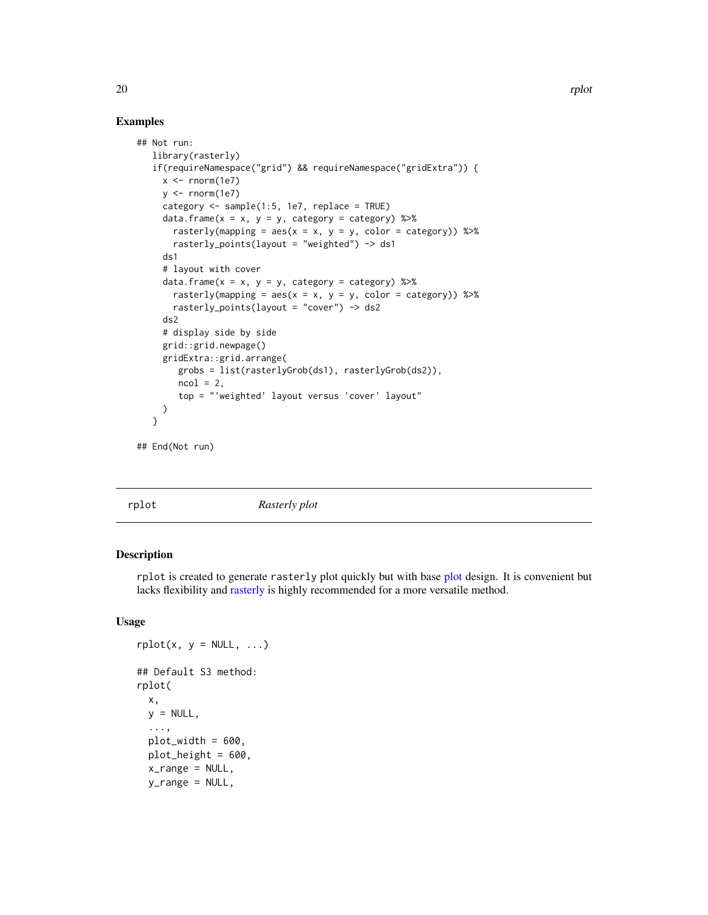#### Examples

```
## Not run:
  library(rasterly)
   if(requireNamespace("grid") && requireNamespace("gridExtra")) {
     x \le- rnorm(1e7)
     y \le - rnorm(1e7)
     category <- sample(1:5, 1e7, replace = TRUE)
     data.frame(x = x, y = y, category = category) %>%
       rasterly(mapping = \text{aes}(x = x, y = y, \text{ color} = \text{category})) %>%
       rasterly_points(layout = "weighted") -> ds1
     ds1
     # layout with cover
     data.frame(x = x, y = y, category = category) %>%
       rasterly(mapping = \text{aes}(x = x, y = y, \text{ color} = \text{category})) %>%
       rasterly_points(layout = "cover") -> ds2
     ds2
     # display side by side
     grid::grid.newpage()
     gridExtra::grid.arrange(
        grobs = list(rasterlyGrob(ds1), rasterlyGrob(ds2)),
        ncol = 2,
        top = "'weighted' layout versus 'cover' layout"
     \lambda}
```
## End(Not run)

| rplot | Rasterly plot |  |
|-------|---------------|--|
|-------|---------------|--|

#### Description

rplot is created to generate rasterly plot quickly but with base [plot](#page-0-0) design. It is convenient but lacks flexibility and [rasterly](#page-13-1) is highly recommended for a more versatile method.

#### Usage

```
rplot(x, y = NULL, ...)## Default S3 method:
rplot(
 x,
 y = NULL,
  ...,
 plot\_width = 600,
 plot_height = 600,
  x_range = NULL,
  y_range = NULL,
```
<span id="page-19-0"></span>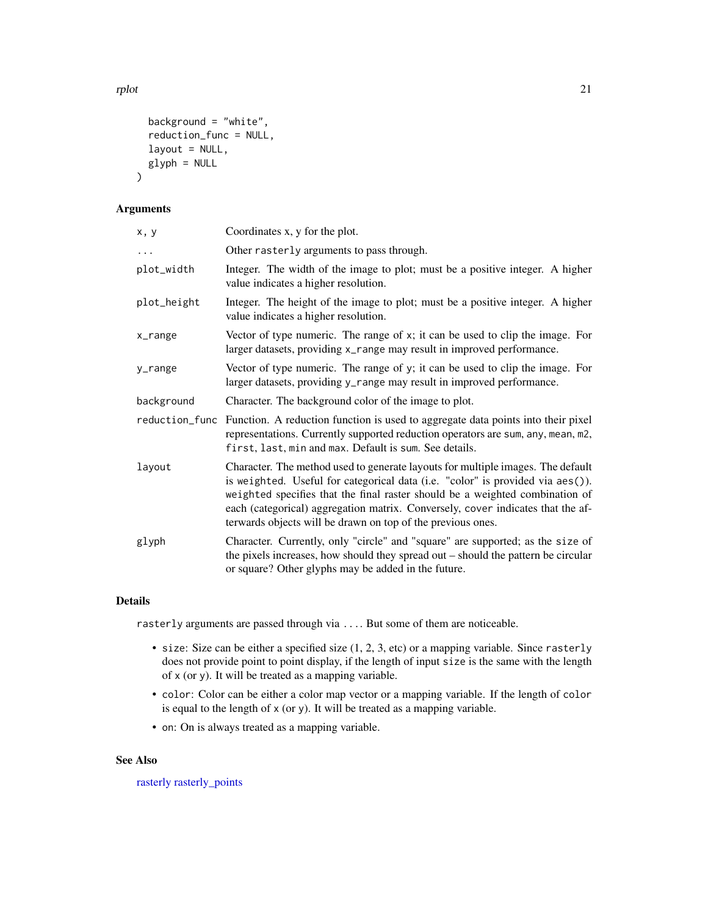<span id="page-20-0"></span>rplot that the contract of the contract of the contract of the contract of the contract of the contract of the contract of the contract of the contract of the contract of the contract of the contract of the contract of the

```
background = "white",
reduction_func = NULL,
layout = NULL,
glyph = NULL
```
#### Arguments

)

| x, y        | Coordinates x, y for the plot.                                                                                                                                                                                                                                                                                                                                                                      |
|-------------|-----------------------------------------------------------------------------------------------------------------------------------------------------------------------------------------------------------------------------------------------------------------------------------------------------------------------------------------------------------------------------------------------------|
| $\cdots$    | Other rasterly arguments to pass through.                                                                                                                                                                                                                                                                                                                                                           |
| plot_width  | Integer. The width of the image to plot; must be a positive integer. A higher<br>value indicates a higher resolution.                                                                                                                                                                                                                                                                               |
| plot_height | Integer. The height of the image to plot; must be a positive integer. A higher<br>value indicates a higher resolution.                                                                                                                                                                                                                                                                              |
| x_range     | Vector of type numeric. The range of $x$ ; it can be used to clip the image. For<br>larger datasets, providing x_range may result in improved performance.                                                                                                                                                                                                                                          |
| y_range     | Vector of type numeric. The range of y; it can be used to clip the image. For<br>larger datasets, providing y_range may result in improved performance.                                                                                                                                                                                                                                             |
| background  | Character. The background color of the image to plot.                                                                                                                                                                                                                                                                                                                                               |
|             | reduction_func Function. A reduction function is used to aggregate data points into their pixel<br>representations. Currently supported reduction operators are sum, any, mean, m2,<br>first, last, min and max. Default is sum. See details.                                                                                                                                                       |
| layout      | Character. The method used to generate layouts for multiple images. The default<br>is weighted. Useful for categorical data (i.e. "color" is provided via aes()).<br>weighted specifies that the final raster should be a weighted combination of<br>each (categorical) aggregation matrix. Conversely, cover indicates that the af-<br>terwards objects will be drawn on top of the previous ones. |
| glyph       | Character. Currently, only "circle" and "square" are supported; as the size of<br>the pixels increases, how should they spread out – should the pattern be circular<br>or square? Other glyphs may be added in the future.                                                                                                                                                                          |

#### Details

rasterly arguments are passed through via .... But some of them are noticeable.

- size: Size can be either a specified size (1, 2, 3, etc) or a mapping variable. Since rasterly does not provide point to point display, if the length of input size is the same with the length of x (or y). It will be treated as a mapping variable.
- color: Color can be either a color map vector or a mapping variable. If the length of color is equal to the length of x (or y). It will be treated as a mapping variable.
- on: On is always treated as a mapping variable.

#### See Also

[rasterly](#page-13-1) [rasterly\\_points](#page-17-1)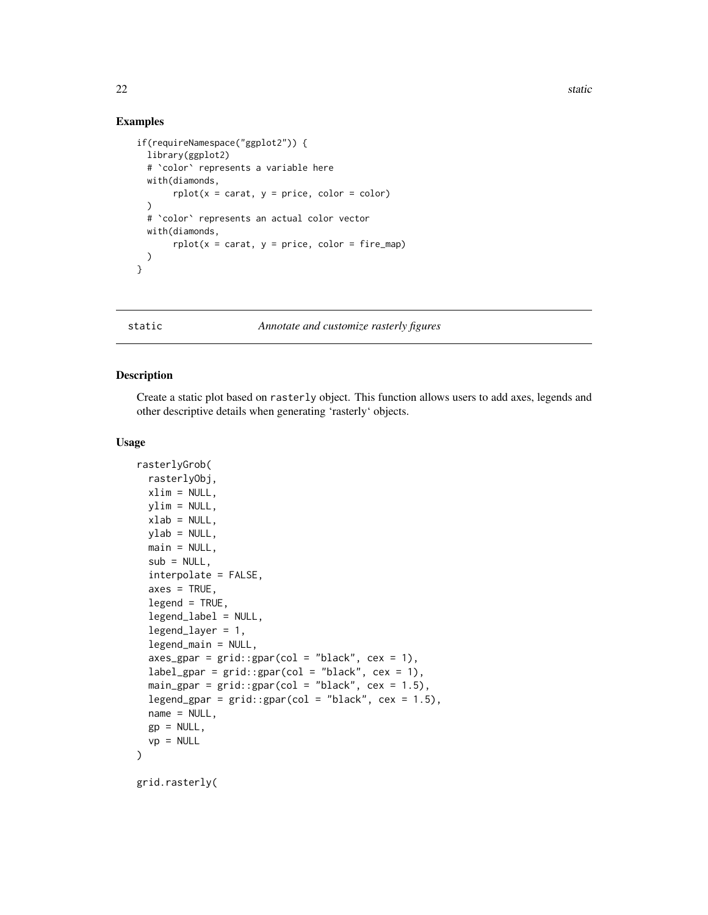22 static static static static static static static static static static static static static static static static

#### Examples

```
if(requireNamespace("ggplot2")) {
 library(ggplot2)
 # `color` represents a variable here
 with(diamonds,
       rplot(x = carat, y = price, color = color)\lambda# `color` represents an actual color vector
 with(diamonds,
       rplot(x = carat, y = price, color = fire_map))
}
```
static *Annotate and customize rasterly figures*

#### <span id="page-21-1"></span>Description

Create a static plot based on rasterly object. This function allows users to add axes, legends and other descriptive details when generating 'rasterly' objects.

#### Usage

```
rasterlyGrob(
 rasterlyObj,
 xlim = NULL,ylim = NULL,
 xlab = NULL,
 ylab = NULL,
 main = NULL,sub = NULL,interpolate = FALSE,
  axes = TRUE,legend = TRUE,legend_label = NULL,
  legend_layer = 1,
  legend_main = NULL,
  axes\_gpar = grid::gpar(col = "black", cex = 1),label\_gpar = grid::gpar(col = "black", cex = 1),main\_gpar = grid::gpar(col = "black", cex = 1.5),legend_gpar = grid::gpar(col = "black", cex = 1.5),
 name = NULL,
 gp = NULL,vp = NULL)
grid.rasterly(
```
<span id="page-21-0"></span>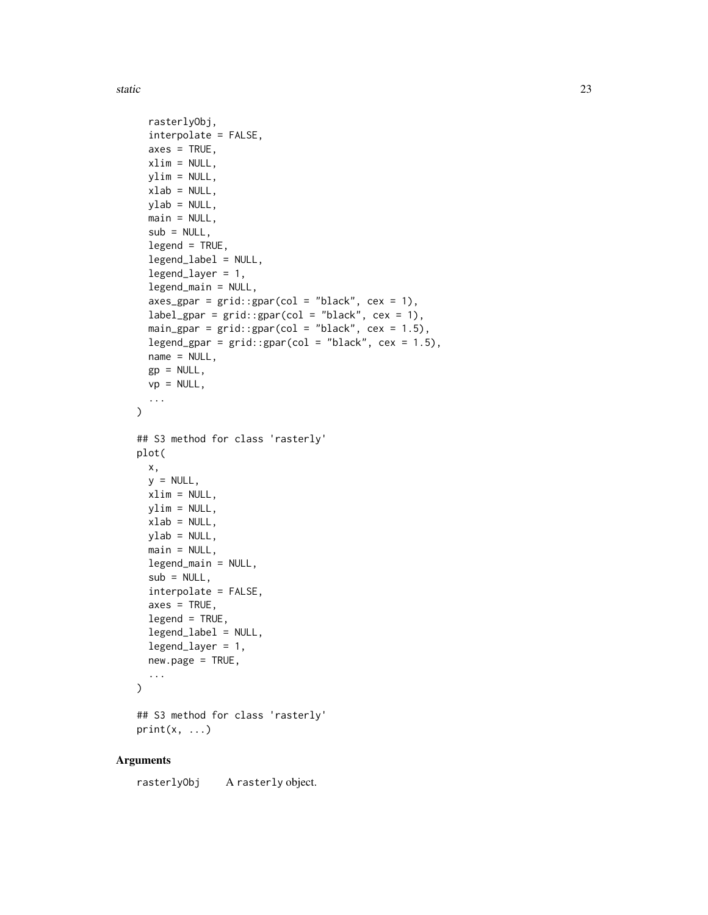static 23

```
rasterlyObj,
  interpolate = FALSE,
  axes = TRUE,
 xlim = NULL,ylim = NULL,
 xlab = NULL,
 ylab = NULL,
 main = NULL,
  sub = NULL,legend = TRUE,legend_label = NULL,
  legend_layer = 1,
  legend_main = NULL,
  axes\_gpar = grid::gpar(col = "black", cex = 1),label\_gpar = grid::gpar(col = "black", cex = 1),main\_gpar = grid::gpar(col = "black", cex = 1.5),
  legend_gpar = grid::gpar(col = "black", cex = 1.5),
 name = NULL,gp = NULL,vp = NULL,...
\lambda## S3 method for class 'rasterly'
plot(
 x,
 y = NULL,xlim = NULL,ylim = NULL,
 xlab = NULL,
 ylab = NULL,
 main = NULL,
 legend_main = NULL,
  sub = NULL,interpolate = FALSE,
  axes = TRUE,legend = TRUE,
  legend_label = NULL,
  legend_layer = 1,
 new.page = TRUE,
  ...
\mathcal{L}## S3 method for class 'rasterly'
```
### $print(x, \ldots)$

#### Arguments

rasterlyObj A rasterly object.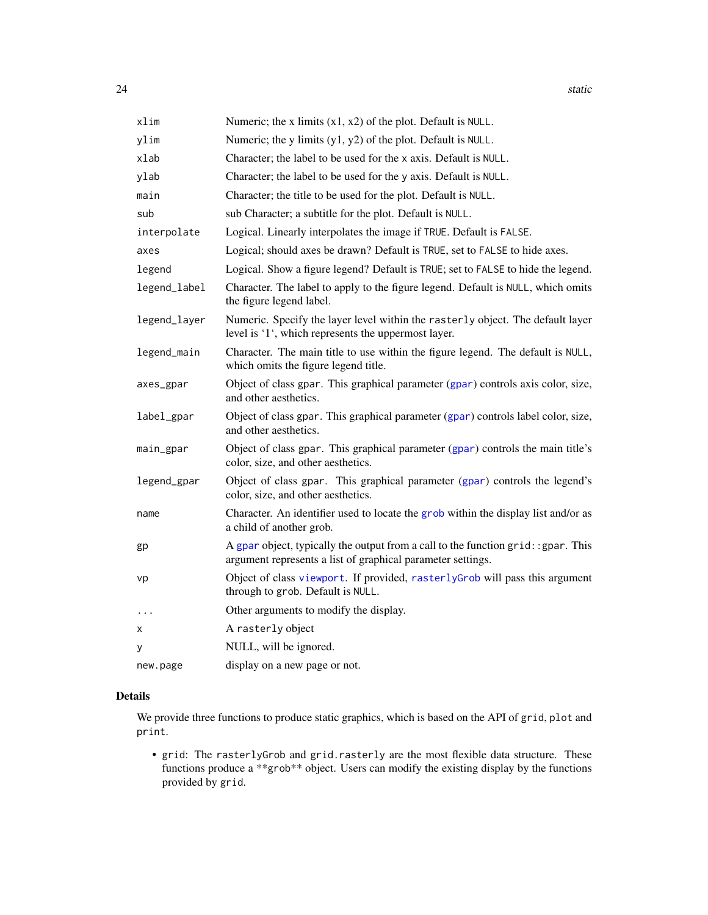<span id="page-23-0"></span>

| xlim         | Numeric; the x limits $(x1, x2)$ of the plot. Default is NULL.                                                                                       |
|--------------|------------------------------------------------------------------------------------------------------------------------------------------------------|
| ylim         | Numeric; the y limits (y1, y2) of the plot. Default is NULL.                                                                                         |
| xlab         | Character; the label to be used for the x axis. Default is NULL.                                                                                     |
| ylab         | Character; the label to be used for the y axis. Default is NULL.                                                                                     |
| main         | Character; the title to be used for the plot. Default is NULL.                                                                                       |
| sub          | sub Character; a subtitle for the plot. Default is NULL.                                                                                             |
| interpolate  | Logical. Linearly interpolates the image if TRUE. Default is FALSE.                                                                                  |
| axes         | Logical; should axes be drawn? Default is TRUE, set to FALSE to hide axes.                                                                           |
| legend       | Logical. Show a figure legend? Default is TRUE; set to FALSE to hide the legend.                                                                     |
| legend_label | Character. The label to apply to the figure legend. Default is NULL, which omits<br>the figure legend label.                                         |
| legend_layer | Numeric. Specify the layer level within the rasterly object. The default layer<br>level is '1', which represents the uppermost layer.                |
| legend_main  | Character. The main title to use within the figure legend. The default is NULL,<br>which omits the figure legend title.                              |
| axes_gpar    | Object of class gpar. This graphical parameter (gpar) controls axis color, size,<br>and other aesthetics.                                            |
| label_gpar   | Object of class gpar. This graphical parameter (gpar) controls label color, size,<br>and other aesthetics.                                           |
| main_gpar    | Object of class gpar. This graphical parameter (gpar) controls the main title's<br>color, size, and other aesthetics.                                |
| legend_gpar  | Object of class gpar. This graphical parameter (gpar) controls the legend's<br>color, size, and other aesthetics.                                    |
| name         | Character. An identifier used to locate the grob within the display list and/or as<br>a child of another grob.                                       |
| gp           | A gpar object, typically the output from a call to the function $grid$ : : gpar. This<br>argument represents a list of graphical parameter settings. |
| vp           | Object of class viewport. If provided, rasterlyGrob will pass this argument<br>through to grob. Default is NULL.                                     |
| .            | Other arguments to modify the display.                                                                                                               |
| x            | A rasterly object                                                                                                                                    |
| у            | NULL, will be ignored.                                                                                                                               |
| new.page     | display on a new page or not.                                                                                                                        |

#### Details

We provide three functions to produce static graphics, which is based on the API of grid, plot and print.

• grid: The rasterlyGrob and grid.rasterly are the most flexible data structure. These functions produce a \*\*grob\*\* object. Users can modify the existing display by the functions provided by grid.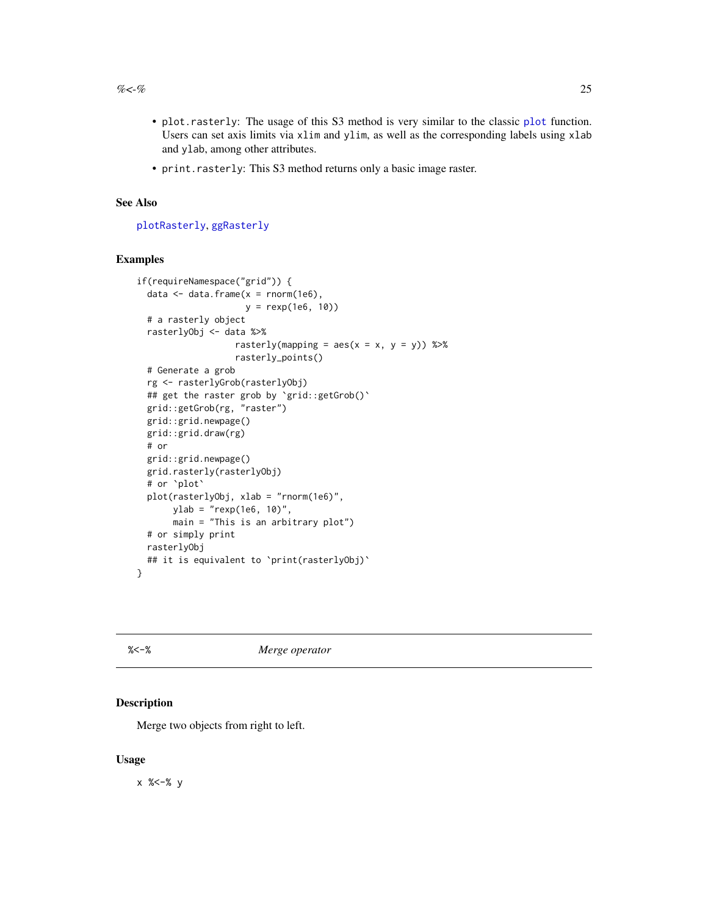#### <span id="page-24-0"></span> $% >0$  25

- plot.rasterly: The usage of this S3 method is very similar to the classic [plot](#page-0-0) function. Users can set axis limits via xlim and ylim, as well as the corresponding labels using xlab and ylab, among other attributes.
- print.rasterly: This S3 method returns only a basic image raster.

#### See Also

[plotRasterly](#page-9-1), [ggRasterly](#page-5-1)

#### Examples

```
if(requireNamespace("grid")) {
 data \leq data.frame(x =rnorm(1e6),
                     y = rexp(1e6, 10))
 # a rasterly object
 rasterlyObj <- data %>%
                   rasterly(mapping = \text{aes}(x = x, y = y)) %>%
                   rasterly_points()
 # Generate a grob
 rg <- rasterlyGrob(rasterlyObj)
 ## get the raster grob by 'grid::getGrob()'
 grid::getGrob(rg, "raster")
 grid::grid.newpage()
 grid::grid.draw(rg)
 # or
 grid::grid.newpage()
 grid.rasterly(rasterlyObj)
 # or `plot`
 plot(rasterlyObj, xlab = "rnorm(1e6)",
       ylab = "rexp(1e6, 10)",
       main = "This is an arbitrary plot")
 # or simply print
 rasterlyObj
 ## it is equivalent to `print(rasterlyObj)`
}
```
#### %<-% *Merge operator*

#### Description

Merge two objects from right to left.

#### Usage

x %<-% y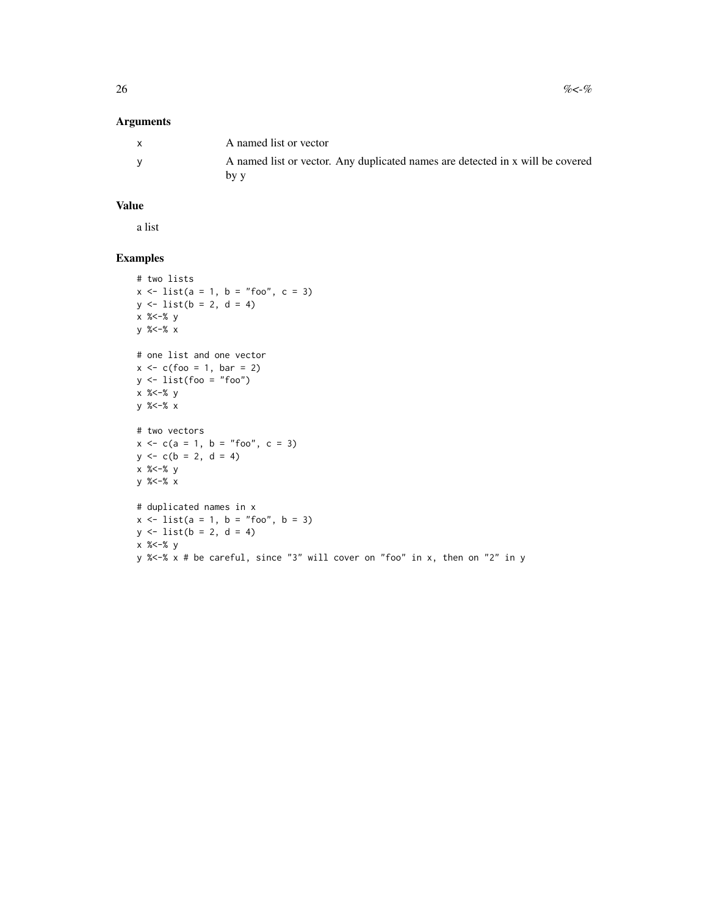#### Arguments

| A named list or vector                                                                 |
|----------------------------------------------------------------------------------------|
| A named list or vector. Any duplicated names are detected in x will be covered<br>by y |

#### Value

a list

#### Examples

```
# two lists
x \le - list(a = 1, b = "foo", c = 3)
y \le -\text{list}(b = 2, d = 4)x %<-% y
y %<-% x
# one list and one vector
x \leq -c (foo = 1, bar = 2)
y <- list(foo = "foo")
x %<-% y
y %<-% x
# two vectors
x \leq -c(a = 1, b = "foo", c = 3)y \leq -c(b = 2, d = 4)x %<-% y
y %<-% x
# duplicated names in x
x \le - list(a = 1, b = "foo", b = 3)
y \le - list(b = 2, d = 4)
x %<-% y
y %<-% x # be careful, since "3" will cover on "foo" in x, then on "2" in y
```